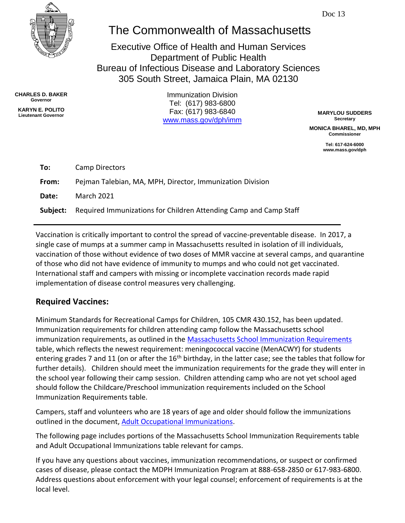

# The Commonwealth of Massachusetts

Executive Office of Health and Human Services Department of Public Health Bureau of Infectious Disease and Laboratory Sciences 305 South Street, Jamaica Plain, MA 02130

**CHARLES D. BAKER Governor**

**KARYN E. POLITO**

**Lieutenant Governor MARYLOU SUDDERS** Fax: (617) 983-6840 Immunization Division Tel: (617) 983-6800 [www.mass.gov/dph/imm](http://www.mass.gov/dph/imm)

**Secretary**

**MONICA BHAREL, MD, MPH Commissioner**

> **Tel: 617-624-6000 www.mass.gov/dph**

| To:      | Camp Directors                                                    |
|----------|-------------------------------------------------------------------|
| From:    | Pejman Talebian, MA, MPH, Director, Immunization Division         |
| Date:    | <b>March 2021</b>                                                 |
| Subject: | Required Immunizations for Children Attending Camp and Camp Staff |

Vaccination is critically important to control the spread of vaccine-preventable disease. In 2017, a single case of mumps at a summer camp in Massachusetts resulted in isolation of ill individuals, vaccination of those without evidence of two doses of MMR vaccine at several camps, and quarantine of those who did not have evidence of immunity to mumps and who could not get vaccinated. International staff and campers with missing or incomplete vaccination records made rapid implementation of disease control measures very challenging.

### **Required Vaccines:**

Minimum Standards for Recreational Camps for Children, 105 CMR 430.152, has been updated. Immunization requirements for children attending camp follow the Massachusetts school immunization requirements, as outlined in the [Massachusetts School Immunization Requirements](https://www.mass.gov/doc/immunization-requirements-for-school-entry-0/download) table, which reflects the newest requirement: meningococcal vaccine (MenACWY) for students entering grades 7 and 11 (on or after the 16<sup>th</sup> birthday, in the latter case; see the tables that follow for further details). Children should meet the immunization requirements for the grade they will enter in the school year following their camp session. Children attending camp who are not yet school aged should follow the Childcare/Preschool immunization requirements included on the School Immunization Requirements table.

Campers, staff and volunteers who are 18 years of age and older should follow the immunizations outlined in the document, [Adult Occupational Immunizations.](https://www.mass.gov/doc/adult-occupational-immunizations-massachusetts-recommendations-and-requirements-0/download)

The following page includes portions of the Massachusetts School Immunization Requirements table and Adult Occupational Immunizations table relevant for camps.

If you have any questions about vaccines, immunization recommendations, or suspect or confirmed cases of disease, please contact the MDPH Immunization Program at 888-658-2850 or 617-983-6800. Address questions about enforcement with your legal counsel; enforcement of requirements is at the local level.

Doc 13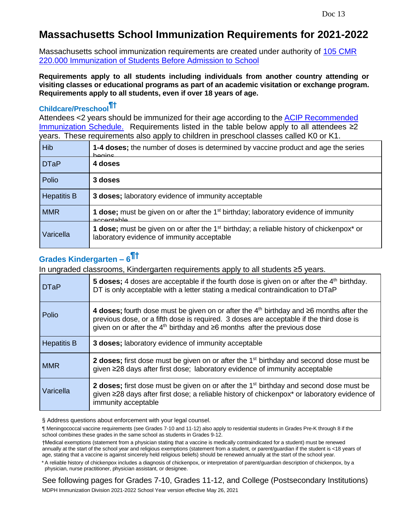### **Massachusetts School Immunization Requirements for 2021-2022**

Massachusetts school immunization requirements are created under authority of [105 CMR](https://www.mass.gov/regulations/105-CMR-22000-immunization-of-students-before-admission-to-school)  [220.000 Immunization of Students Before Admission to School](https://www.mass.gov/regulations/105-CMR-22000-immunization-of-students-before-admission-to-school)

**Requirements apply to all students including individuals from another country attending or visiting classes or educational programs as part of an academic visitation or exchange program. Requirements apply to all students, even if over 18 years of age.**

### **Childcare/Preschool¶†**

Attendees <2 years should be immunized for their age according to the ACIP [Recommended](https://www.cdc.gov/vaccines/schedules/index.html) [Immunization](https://www.cdc.gov/vaccines/schedules/index.html) Schedule. Requirements listed in the table below apply to all attendees ≥2 years. These requirements also apply to children in preschool classes called K0 or K1.

| <b>Hib</b>         | 1-4 doses; the number of doses is determined by vaccine product and age the series<br>hanine                                                                |
|--------------------|-------------------------------------------------------------------------------------------------------------------------------------------------------------|
| <b>DTaP</b>        | 4 doses                                                                                                                                                     |
| Polio              | 3 doses                                                                                                                                                     |
| <b>Hepatitis B</b> | 3 doses; laboratory evidence of immunity acceptable                                                                                                         |
| <b>MMR</b>         | <b>1 dose;</b> must be given on or after the 1 <sup>st</sup> birthday; laboratory evidence of immunity<br>accontable                                        |
| Varicella          | <b>1 dose;</b> must be given on or after the $1st$ birthday; a reliable history of chickenpox <sup>*</sup> or<br>laboratory evidence of immunity acceptable |

# **Grades Kindergarten – 6 ¶†**

In ungraded classrooms, Kindergarten requirements apply to all students ≥5 years.

| <b>DTaP</b>        | 5 doses; 4 doses are acceptable if the fourth dose is given on or after the 4 <sup>th</sup> birthday.<br>DT is only acceptable with a letter stating a medical contraindication to DTaP                                                                                        |
|--------------------|--------------------------------------------------------------------------------------------------------------------------------------------------------------------------------------------------------------------------------------------------------------------------------|
| Polio              | 4 doses; fourth dose must be given on or after the $4th$ birthday and $\geq 6$ months after the<br>previous dose, or a fifth dose is required. 3 doses are acceptable if the third dose is<br>given on or after the $4th$ birthday and $\geq 6$ months after the previous dose |
| <b>Hepatitis B</b> | 3 doses; laboratory evidence of immunity acceptable                                                                                                                                                                                                                            |
| <b>MMR</b>         | <b>2 doses;</b> first dose must be given on or after the 1 <sup>st</sup> birthday and second dose must be<br>given ≥28 days after first dose; laboratory evidence of immunity acceptable                                                                                       |
| Varicella          | <b>2 doses;</b> first dose must be given on or after the $1st$ birthday and second dose must be<br>given ≥28 days after first dose; a reliable history of chickenpox* or laboratory evidence of<br>immunity acceptable                                                         |

§ Address questions about enforcement with your legal counsel.

¶ Meningococcal vaccine requirements (see Grades 7-10 and 11-12) also apply to residential students in Grades Pre-K through 8 if the school combines these grades in the same school as students in Grades 9-12.

†Medical exemptions (statement from a physician stating that a vaccine is medically contraindicated for a student) must be renewed annually at the start of the school year and religious exemptions (statement from a student, or parent/guardian if the student is <18 years of age, stating that a vaccine is against sincerely held religious beliefs) should be renewed annually at the start of the school year.

\* A reliable history of chickenpox includes a diagnosis of chickenpox, or interpretation of parent/guardian description of chickenpox, by a physician, nurse practitioner, physician assistant, or designee.

See following pages for Grades 7-10, Grades 11-12, and College (Postsecondary Institutions)

MDPH Immunization Division 2021-2022 School Year version effective May 26, 2021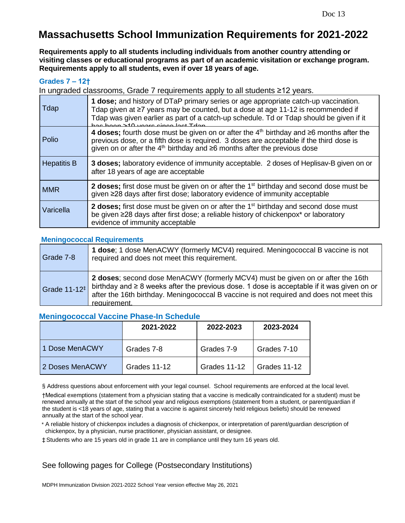# **Massachusetts School Immunization Requirements for 2021-2022**

**Requirements apply to all students including individuals from another country attending or visiting classes or educational programs as part of an academic visitation or exchange program. Requirements apply to all students, even if over 18 years of age.**

#### **Grades 7 – 12†**

In ungraded classrooms, Grade 7 requirements apply to all students ≥12 years.

| Tdap               | 1 dose; and history of DTaP primary series or age appropriate catch-up vaccination.<br>Tdap given at ≥7 years may be counted, but a dose at age 11-12 is recommended if<br>Tdap was given earlier as part of a catch-up schedule. Td or Tdap should be given if it<br>has hean >10 years since lost Tdan |
|--------------------|----------------------------------------------------------------------------------------------------------------------------------------------------------------------------------------------------------------------------------------------------------------------------------------------------------|
| Polio              | 4 doses; fourth dose must be given on or after the $4th$ birthday and $\geq 6$ months after the<br>previous dose, or a fifth dose is required. 3 doses are acceptable if the third dose is<br>given on or after the $4th$ birthday and $\geq 6$ months after the previous dose                           |
| <b>Hepatitis B</b> | 3 doses; laboratory evidence of immunity acceptable. 2 doses of Heplisav-B given on or<br>after 18 years of age are acceptable                                                                                                                                                                           |
| <b>MMR</b>         | 2 doses; first dose must be given on or after the 1 <sup>st</sup> birthday and second dose must be<br>given ≥28 days after first dose; laboratory evidence of immunity acceptable                                                                                                                        |
| Varicella          | 2 doses; first dose must be given on or after the 1 <sup>st</sup> birthday and second dose must<br>be given ≥28 days after first dose; a reliable history of chickenpox* or laboratory<br>evidence of immunity acceptable                                                                                |

#### **Meningococcal Requirements**

| Grade 7-8                  | 1 dose; 1 dose MenACWY (formerly MCV4) required. Meningococcal B vaccine is not<br>required and does not meet this requirement.                                                                                                                                                               |
|----------------------------|-----------------------------------------------------------------------------------------------------------------------------------------------------------------------------------------------------------------------------------------------------------------------------------------------|
| Grade $11-12$ <sup>#</sup> | 2 doses; second dose MenACWY (formerly MCV4) must be given on or after the 16th<br>birthday and $\geq 8$ weeks after the previous dose. 1 dose is acceptable if it was given on or<br>after the 16th birthday. Meningococcal B vaccine is not required and does not meet this<br>requirement. |

#### **Meningococcal Vaccine Phase-In Schedule**

|                 | 2021-2022    | 2022-2023    | 2023-2024    |
|-----------------|--------------|--------------|--------------|
| 1 Dose MenACWY  | Grades 7-8   | Grades 7-9   | Grades 7-10  |
| 2 Doses MenACWY | Grades 11-12 | Grades 11-12 | Grades 11-12 |

§ Address questions about enforcement with your legal counsel. School requirements are enforced at the local level.

†Medical exemptions (statement from a physician stating that a vaccine is medically contraindicated for a student) must be renewed annually at the start of the school year and religious exemptions (statement from a student, or parent/guardian if the student is <18 years of age, stating that a vaccine is against sincerely held religious beliefs) should be renewed annually at the start of the school year.

\* A reliable history of chickenpox includes a diagnosis of chickenpox, or interpretation of parent/guardian description of chickenpox, by a physician, nurse practitioner, physician assistant, or designee.

‡Students who are 15 years old in grade 11 are in compliance until they turn 16 years old.

#### See following pages for College (Postsecondary Institutions)

MDPH Immunization Division 2021-2022 School Year version effective May 26, 2021